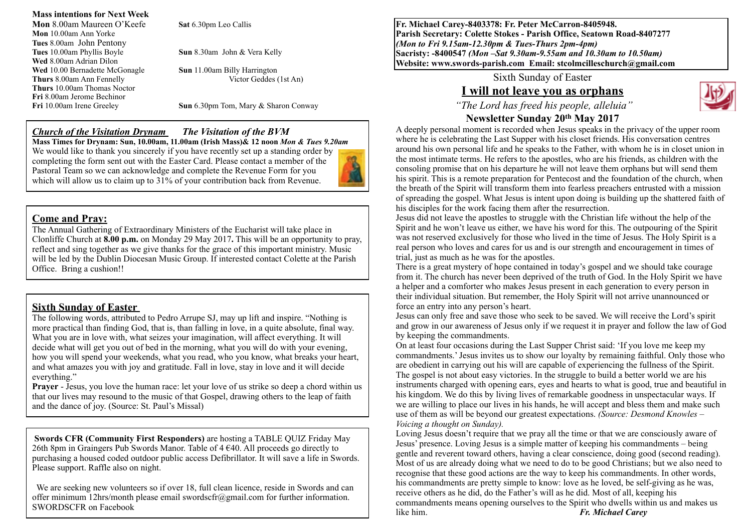#### **Mass intentions for Next Week**

**Mon** 8.00am Maureen O'Keefe **Sat** 6.30pm Leo Callis **Mon** 10.00am Ann Yorke **Tues** 8.00am John Pentony **Wed** 8.00am Adrian Dilon **Wed** 10.00 Bernadette McGonagle **Sun** 11.00am Billy Harrington<br> **Thurs** 8.00am Ann Fennelly **Sun** *Sun 11.00am Billy Harrington* Victor Geddes (1st An) **Thurs** 8.00am Ann Fennelly **Thurs** 10.00am Thomas Noctor **Fri** 8.00am Jerome Bechinor

**Sun** 8.30am John & Vera Kelly

**Fri** 10.00am Irene Greeley **Sun** 6.30pm Tom, Mary & Sharon Conway

### *Church of the Visitation Drynam**The Visitation of the BVM*

**Mass Times for Drynam: Sun, 10.00am, 11.00am (Irish Mass)& 12 noon** *Mon & Tues 9.20am* We would like to thank you sincerely if you have recently set up a standing order by completing the form sent out with the Easter Card. Please contact a member of the Pastoral Team so we can acknowledge and complete the Revenue Form for you which will allow us to claim up to  $31\%$  of your contribution back from Revenue.



### **Come and Pray:**

The Annual Gathering of Extraordinary Ministers of the Eucharist will take place in Clonliffe Church at **8.00 p.m.** on Monday 29 May 2017**.** This will be an opportunity to pray, reflect and sing together as we give thanks for the grace of this important ministry. Music will be led by the Dublin Diocesan Music Group. If interested contact Colette at the Parish Office. Bring a cushion!!

### **Sixth Sunday of Easter**

The following words, attributed to Pedro Arrupe SJ, may up lift and inspire. "Nothing is more practical than finding God, that is, than falling in love, in a quite absolute, final way. What you are in love with, what seizes your imagination, will affect everything. It will decide what will get you out of bed in the morning, what you will do with your evening, how you will spend your weekends, what you read, who you know, what breaks your heart, and what amazes you with joy and gratitude. Fall in love, stay in love and it will decide everything."

**Prayer** - Jesus, you love the human race: let your love of us strike so deep a chord within us that our lives may resound to the music of that Gospel, drawing others to the leap of faith and the dance of joy. (Source: St. Paul's Missal)

 **Swords CFR (Community First Responders)** are hosting a TABLE QUIZ Friday May 26th 8pm in Graingers Pub Swords Manor. Table of  $4 \text{ } \infty$  All proceeds go directly to purchasing a housed coded outdoor public access Defibrillator. It will save a life in Swords. Please support. Raffle also on night.

We are seeking new volunteers so if over 18, full clean licence, reside in Swords and can offer minimum 12hrs/month please email swordscfr@gmail.com for further information. SWORDSCFR on Facebook

**Fr. Michael Carey-8403378: Fr. Peter McCarron-8405948. Parish Secretary: Colette Stokes - Parish Office, Seatown Road-8407277**  *(Mon to Fri 9.15am-12.30pm & Tues-Thurs 2pm-4pm)*  **Sacristy: -8400547** *(Mon –Sat 9.30am-9.55am and 10.30am to 10.50am)* **Website: [www.swords-parish.com Email:](http://www.swords-parish.com%20%20email) stcolmcilleschurch@gmail.com**

Sixth Sunday of Easter

## **I will not leave you as orphans**

 *"The Lord has freed his people, alleluia"* 

## **Newsletter Sunday 20th May 2017**



Jesus did not leave the apostles to struggle with the Christian life without the help of the Spirit and he won't leave us either, we have his word for this. The outpouring of the Spirit was not reserved exclusively for those who lived in the time of Jesus. The Holy Spirit is a real person who loves and cares for us and is our strength and encouragement in times of trial, just as much as he was for the apostles.

There is a great mystery of hope contained in today's gospel and we should take courage from it. The church has never been deprived of the truth of God. In the Holy Spirit we have a helper and a comforter who makes Jesus present in each generation to every person in their individual situation. But remember, the Holy Spirit will not arrive unannounced or force an entry into any person's heart.

Jesus can only free and save those who seek to be saved. We will receive the Lord's spirit and grow in our awareness of Jesus only if we request it in prayer and follow the law of God by keeping the commandments.

On at least four occasions during the Last Supper Christ said: 'If you love me keep my commandments.' Jesus invites us to show our loyalty by remaining faithful. Only those who are obedient in carrying out his will are capable of experiencing the fullness of the Spirit. The gospel is not about easy victories. In the struggle to build a better world we are his instruments charged with opening ears, eyes and hearts to what is good, true and beautiful in his kingdom. We do this by living lives of remarkable goodness in unspectacular ways. If we are willing to place our lives in his hands, he will accept and bless them and make such use of them as will be beyond our greatest expectations. *(Source: Desmond Knowles – Voicing a thought on Sunday).*

Loving Jesus doesn't require that we pray all the time or that we are consciously aware of Jesus' presence. Loving Jesus is a simple matter of keeping his commandments – being gentle and reverent toward others, having a clear conscience, doing good (second reading). Most of us are already doing what we need to do to be good Christians; but we also need to recognise that these good actions are the way to keep his commandments. In other words, his commandments are pretty simple to know: love as he loved, be self-giving as he was, receive others as he did, do the Father's will as he did. Most of all, keeping his commandments means opening ourselves to the Spirit who dwells within us and makes us like him. *Fr. Michael Carey*